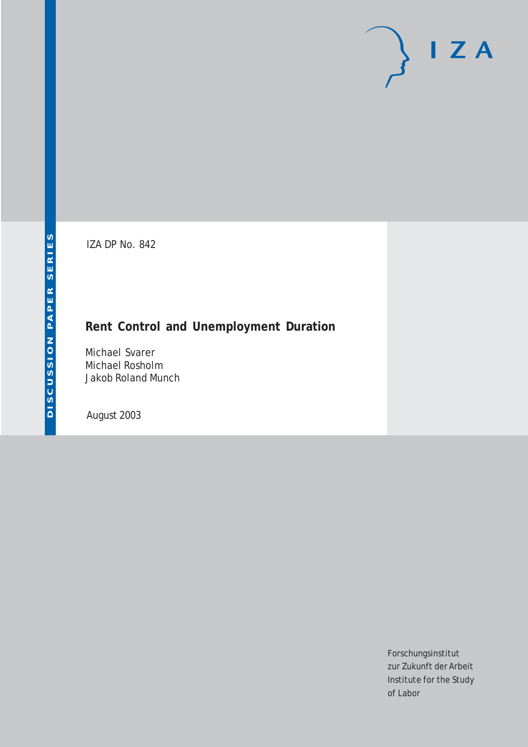# $I Z A$

IZA DP No. 842

## **Rent Control and Unemployment Duration**

Michael Svarer Michael Rosholm Jakob Roland Munch

August 2003

Forschungsinstitut zur Zukunft der Arbeit Institute for the Study of Labor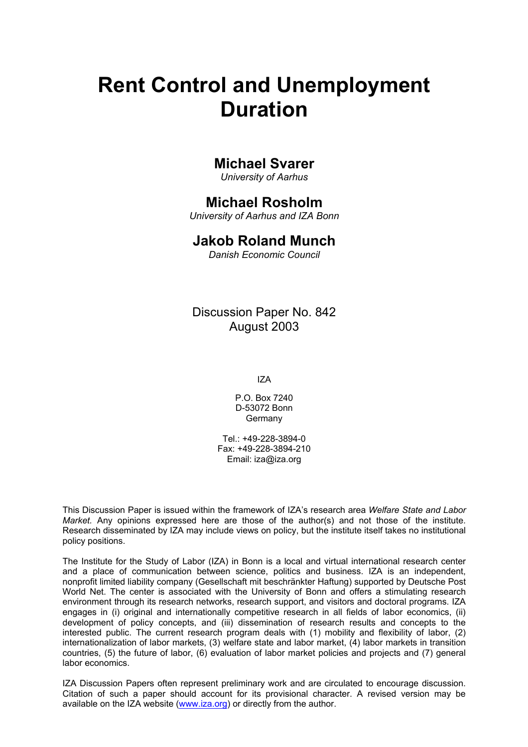# **Rent Control and Unemployment Duration**

## **Michael Svarer**

*University of Aarhus* 

## **Michael Rosholm**

*University of Aarhus and IZA Bonn* 

### **Jakob Roland Munch**

*Danish Economic Council* 

Discussion Paper No. 842 August 2003

IZA

P.O. Box 7240 D-53072 Bonn Germany

Tel.: +49-228-3894-0 Fax: +49-228-3894-210 Email: [iza@iza.org](mailto:iza@iza.org)

This Discussion Paper is issued within the framework of IZA's research area *Welfare State and Labor Market.* Any opinions expressed here are those of the author(s) and not those of the institute. Research disseminated by IZA may include views on policy, but the institute itself takes no institutional policy positions.

The Institute for the Study of Labor (IZA) in Bonn is a local and virtual international research center and a place of communication between science, politics and business. IZA is an independent, nonprofit limited liability company (Gesellschaft mit beschränkter Haftung) supported by Deutsche Post World Net. The center is associated with the University of Bonn and offers a stimulating research environment through its research networks, research support, and visitors and doctoral programs. IZA engages in (i) original and internationally competitive research in all fields of labor economics, (ii) development of policy concepts, and (iii) dissemination of research results and concepts to the interested public. The current research program deals with (1) mobility and flexibility of labor, (2) internationalization of labor markets, (3) welfare state and labor market, (4) labor markets in transition countries, (5) the future of labor, (6) evaluation of labor market policies and projects and (7) general labor economics.

IZA Discussion Papers often represent preliminary work and are circulated to encourage discussion. Citation of such a paper should account for its provisional character. A revised version may be available on the IZA website ([www.iza.org](http://www.iza.org/)) or directly from the author.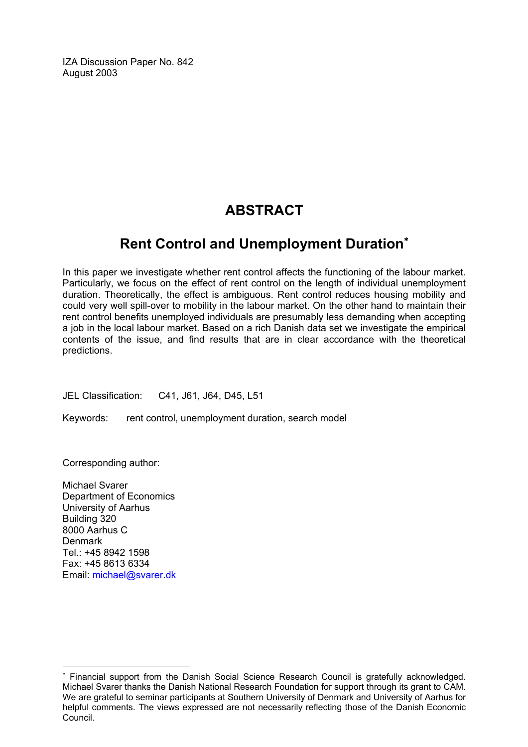IZA Discussion Paper No. 842 August 2003

## **ABSTRACT**

## **Rent Control and Unemployment Duration**[∗](#page-2-0)

In this paper we investigate whether rent control affects the functioning of the labour market. Particularly, we focus on the effect of rent control on the length of individual unemployment duration. Theoretically, the effect is ambiguous. Rent control reduces housing mobility and could very well spill-over to mobility in the labour market. On the other hand to maintain their rent control benefits unemployed individuals are presumably less demanding when accepting a job in the local labour market. Based on a rich Danish data set we investigate the empirical contents of the issue, and find results that are in clear accordance with the theoretical predictions.

JEL Classification: C41, J61, J64, D45, L51

Keywords: rent control, unemployment duration, search model

Corresponding author:

Michael Svarer Department of Economics University of Aarhus Building 320 8000 Aarhus C Denmark Tel.: +45 8942 1598 Fax: +45 8613 6334 Email: [michael@svarer.dk](mailto:michael@svarer.dk)

 $\overline{a}$ 

<span id="page-2-0"></span><sup>∗</sup> Financial support from the Danish Social Science Research Council is gratefully acknowledged. Michael Svarer thanks the Danish National Research Foundation for support through its grant to CAM. We are grateful to seminar participants at Southern University of Denmark and University of Aarhus for helpful comments. The views expressed are not necessarily reflecting those of the Danish Economic Council.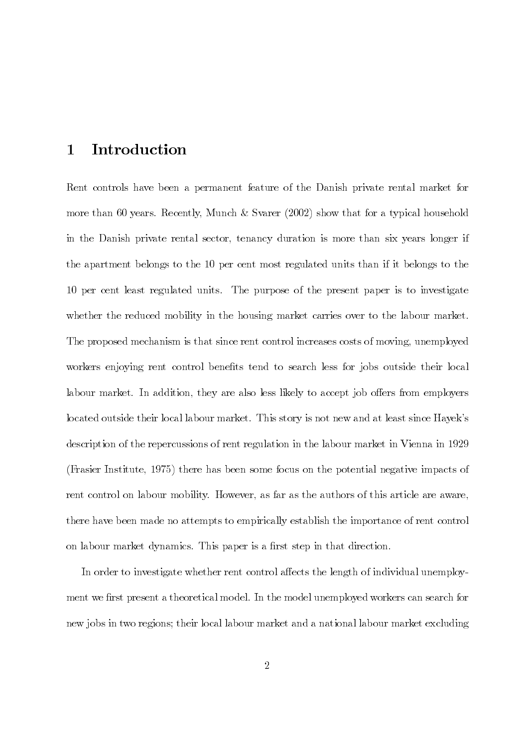#### Introduction  $\mathbf 1$

Rent controls have been a permanent feature of the Danish private rental market for more than 60 years. Recently, Munch & Svarer  $(2002)$  show that for a typical household in the Danish private rental sector, tenancy duration is more than six years longer if the apartment belongs to the 10 per cent most regulated units than if it belongs to the 10 per cent least regulated units. The purpose of the present paper is to investigate whether the reduced mobility in the housing market carries over to the labour market. The proposed mechanism is that since rent control increases costs of moving, unemployed workers enjoying rent control benefits tend to search less for jobs outside their local labour market. In addition, they are also less likely to accept job offers from employers located outside their local labour market. This story is not new and at least since Hayek's description of the repercussions of rent regulation in the labour market in Vienna in 1929 (Frasier Institute, 1975) there has been some focus on the potential negative impacts of rent control on labour mobility. However, as far as the authors of this article are aware, there have been made no attempts to empirically establish the importance of rent control on labour market dynamics. This paper is a first step in that direction.

In order to investigate whether rent control affects the length of individual unemployment we first present a theoretical model. In the model unemployed workers can search for new jobs in two regions; their local labour market and a national labour market excluding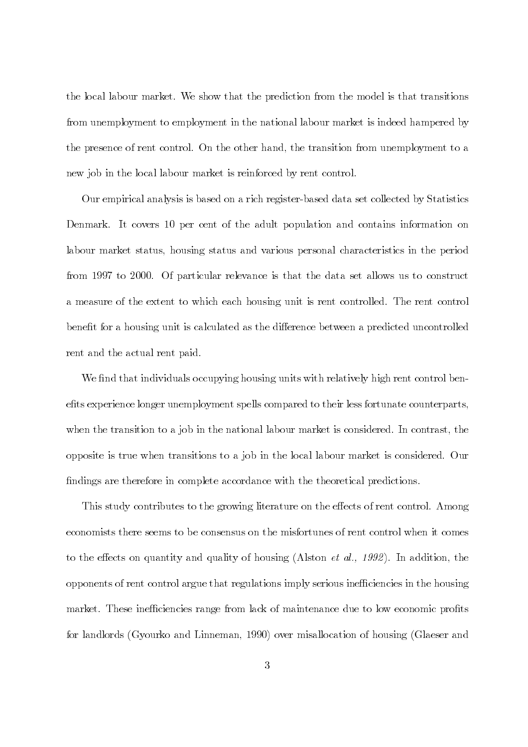the local labour market. We show that the prediction from the model is that transitions from unemployment to employment in the national labour market is indeed hampered by the presence of rent control. On the other hand, the transition from unemployment to a new job in the local labour market is reinforced by rent control.

Our empirical analysis is based on a rich register-based data set collected by Statistics Denmark. It covers 10 per cent of the adult population and contains information on labour market status, housing status and various personal characteristics in the period from 1997 to 2000. Of particular relevance is that the data set allows us to construct a measure of the extent to which each housing unit is rent controlled. The rent control benefit for a housing unit is calculated as the difference between a predicted uncontrolled rent and the actual rent paid.

We find that individuals occupying housing units with relatively high rent control benefits experience longer unemployment spells compared to their less fortunate counterparts, when the transition to a job in the national labour market is considered. In contrast, the opposite is true when transitions to a job in the local labour market is considered. Our findings are therefore in complete accordance with the theoretical predictions.

This study contributes to the growing literature on the effects of rent control. Among economists there seems to be consensus on the misfortunes of rent control when it comes to the effects on quantity and quality of housing (Alston *et al., 1992*). In addition, the opponents of rent control argue that regulations imply serious inefficiencies in the housing market. These inefficiencies range from lack of maintenance due to low economic profits for landlords (Gyourko and Linneman, 1990) over misallocation of housing (Glaeser and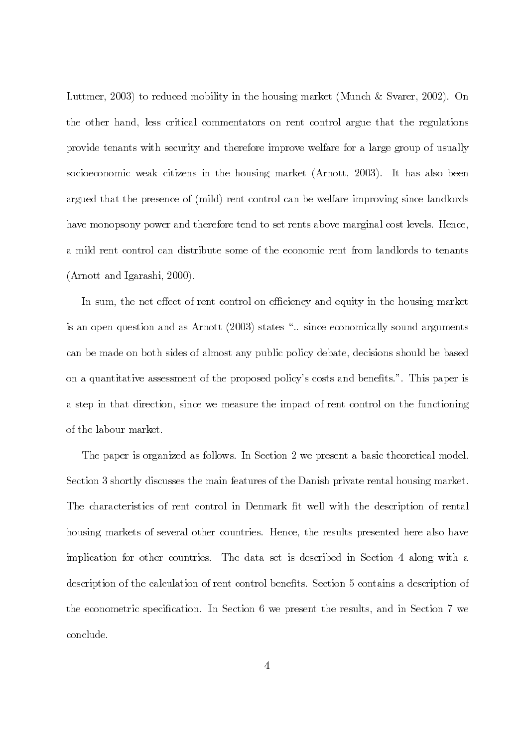Luttmer, 2003) to reduced mobility in the housing market (Munch & Svarer, 2002). On the other hand, less critical commentators on rent control argue that the regulations provide tenants with security and therefore improve welfare for a large group of usually socioeconomic weak citizens in the housing market (Arnott, 2003). It has also been argued that the presence of (mild) rent control can be welfare improving since landlords have monopsony power and therefore tend to set rents above marginal cost levels. Hence, a mild rent control can distribute some of the economic rent from landlords to tenants  $(Arnott and Igarashi, 2000).$ 

In sum, the net effect of rent control on efficiency and equity in the housing market is an open question and as Arnott (2003) states "... since economically sound arguments can be made on both sides of almost any public policy debate, decisions should be based on a quantitative assessment of the proposed policy's costs and benefits.". This paper is a step in that direction, since we measure the impact of rent control on the functioning of the labour market.

The paper is organized as follows. In Section 2 we present a basic theoretical model. Section 3 shortly discusses the main features of the Danish private rental housing market. The characteristics of rent control in Denmark fit well with the description of rental housing markets of several other countries. Hence, the results presented here also have implication for other countries. The data set is described in Section 4 along with a description of the calculation of rent control benefits. Section 5 contains a description of the econometric specification. In Section 6 we present the results, and in Section 7 we conclude.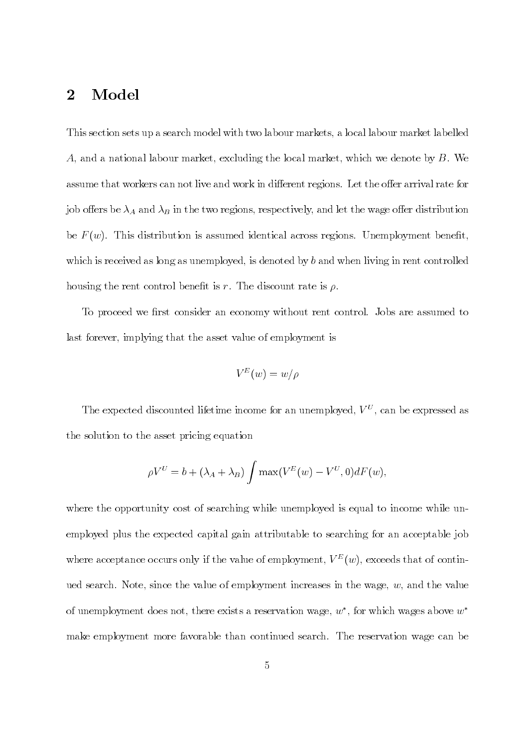#### $\overline{2}$ Model

This section sets up a search model with two labour markets, a local labour market labelled A, and a national labour market, excluding the local market, which we denote by  $B$ . We assume that workers can not live and work in different regions. Let the offer arrival rate for job offers be  $\lambda_A$  and  $\lambda_B$  in the two regions, respectively, and let the wage offer distribution be  $F(w)$ . This distribution is assumed identical across regions. Unemployment benefit, which is received as long as unemployed, is denoted by  $b$  and when living in rent controlled housing the rent control benefit is r. The discount rate is  $\rho$ .

To proceed we first consider an economy without rent control. Jobs are assumed to last forever, implying that the asset value of employment is

$$
V^E(w)=w/\rho
$$

The expected discounted lifetime income for an unemployed,  $V^U$ , can be expressed as the solution to the asset pricing equation

$$
\rho V^U = b + (\lambda_A + \lambda_B) \int \max(V^E(w) - V^U, 0) dF(w),
$$

where the opportunity cost of searching while unemployed is equal to income while unemployed plus the expected capital gain attributable to searching for an acceptable job where acceptance occurs only if the value of employment,  $V^{E}(w)$ , exceeds that of continued search. Note, since the value of employment increases in the wage,  $w$ , and the value of unemployment does not, there exists a reservation wage,  $w^*$ , for which wages above  $w^*$ make employment more favorable than continued search. The reservation wage can be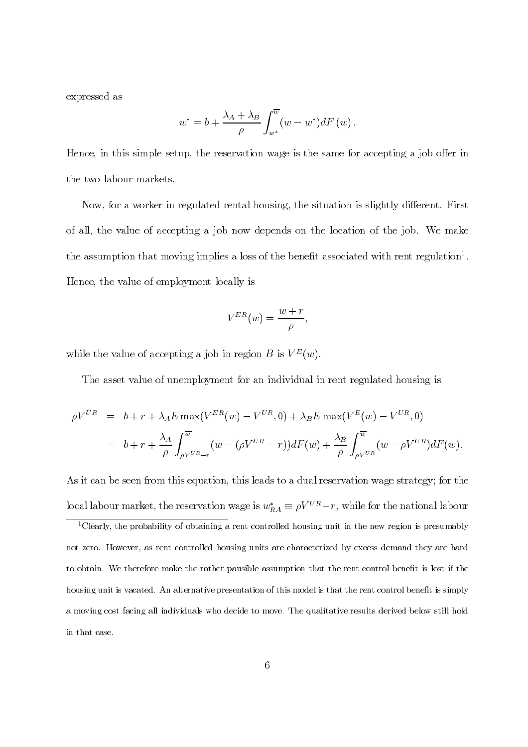expressed as

$$
w^* = b + \frac{\lambda_A + \lambda_B}{\rho} \int_{w^*}^{\overline{w}} (w - w^*) dF(w) .
$$

Hence, in this simple setup, the reservation wage is the same for accepting a job offer in the two labour markets.

Now, for a worker in regulated rental housing, the situation is slightly different. First of all, the value of accepting a job now depends on the location of the job. We make the assumption that moving implies a loss of the benefit associated with rent regulation<sup>1</sup>. Hence, the value of employment locally is

$$
V^{ER}(w) = \frac{w+r}{\rho},
$$

while the value of accepting a job in region B is  $V^{E}(w)$ .

The asset value of unemployment for an individual in rent regulated housing is

$$
\rho V^{UR} = b + r + \lambda_A E \max(V^{ER}(w) - V^{UR}, 0) + \lambda_B E \max(V^{E}(w) - V^{UR}, 0)
$$
  
= 
$$
b + r + \frac{\lambda_A}{\rho} \int_{\rho V^{UR} - r}^{\overline{w}} (w - (\rho V^{UR} - r)) dF(w) + \frac{\lambda_B}{\rho} \int_{\rho V^{UR}}^{\overline{w}} (w - \rho V^{UR}) dF(w).
$$

As it can be seen from this equation, this leads to a dual reservation wage strategy; for the local labour market, the reservation wage is  $w_{RA}^* \equiv \rho V^{UR} - r$ , while for the national labour

<sup>1</sup>Clearly, the probability of obtaining a rent controlled housing unit in the new region is presumably not zero. However, as rent controlled housing units are characterized by excess demand they are hard to obtain. We therefore make the rather pausible assumption that the rent control benefit is lost if the housing unit is vacated. An alternative presentation of this model is that the rent control benefit is simply a moving cost facing all individuals who decide to move. The qualitative results derived below still hold in that case.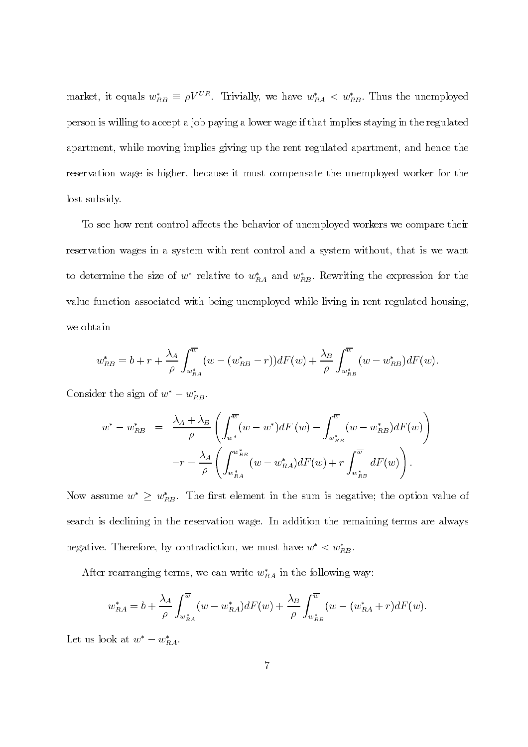market, it equals  $w_{RB}^* \equiv \rho V^{UR}$ . Trivially, we have  $w_{RA}^* < w_{RB}^*$ . Thus the unemployed person is willing to accept a job paying a lower wage if that implies staying in the regulated apartment, while moving implies giving up the rent regulated apartment, and hence the reservation wage is higher, because it must compensate the unemployed worker for the lost subsidy.

To see how rent control affects the behavior of unemployed workers we compare their reservation wages in a system with rent control and a system without, that is we want to determine the size of  $w^*$  relative to  $w^*_{RA}$  and  $w^*_{RB}$ . Rewriting the expression for the value function associated with being unemployed while living in rent regulated housing. we obtain

$$
w_{RB}^{*} = b + r + \frac{\lambda_{A}}{\rho} \int_{w_{RA}^{*}}^{\overline{w}} (w - (w_{RB}^{*} - r)) dF(w) + \frac{\lambda_{B}}{\rho} \int_{w_{RB}^{*}}^{\overline{w}} (w - w_{RB}^{*}) dF(w).
$$

Consider the sign of  $w^* - w^*_{RB}$ .

$$
w^* - w_{RB}^* = \frac{\lambda_A + \lambda_B}{\rho} \left( \int_{w^*}^{\overline{w}} (w - w^*) dF(w) - \int_{w_{RB}^*}^{\overline{w}} (w - w_{RB}^*) dF(w) \right)
$$

$$
-r - \frac{\lambda_A}{\rho} \left( \int_{w_{RA}^*}^{w_{RB}^*} (w - w_{RA}^*) dF(w) + r \int_{w_{RB}^*}^{\overline{w}} dF(w) \right).
$$

Now assume  $w^* \geq w_{RB}^*$ . The first element in the sum is negative; the option value of search is declining in the reservation wage. In addition the remaining terms are always negative. Therefore, by contradiction, we must have  $w^* < w^*_{RB}$ .

After rearranging terms, we can write  $w_{RA}^*$  in the following way:

$$
w_{RA}^* = b + \frac{\lambda_A}{\rho} \int_{w_{RA}^*}^{\overline{w}} (w - w_{RA}^*) dF(w) + \frac{\lambda_B}{\rho} \int_{w_{RB}^*}^{\overline{w}} (w - (w_{RA}^* + r) dF(w)).
$$

Let us look at  $w^* - w^*_{RA}$ .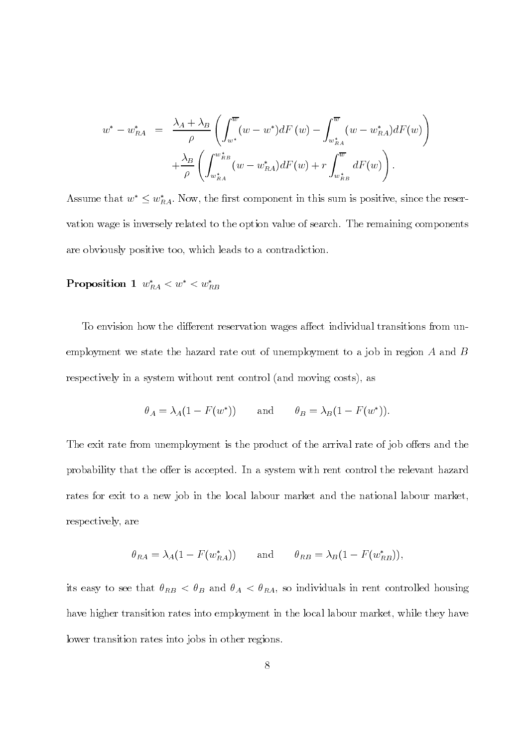$$
w^* - w_{RA}^* = \frac{\lambda_A + \lambda_B}{\rho} \left( \int_{w^*}^{\overline{w}} (w - w^*) dF(w) - \int_{w_{RA}^*}^{\overline{w}} (w - w_{RA}^*) dF(w) \right) + \frac{\lambda_B}{\rho} \left( \int_{w_{RA}^*}^{w_{RB}^*} (w - w_{RA}^*) dF(w) + r \int_{w_{RB}^*}^{\overline{w}} dF(w) \right).
$$

Assume that  $w^* \leq w^*_{RA}$ . Now, the first component in this sum is positive, since the reservation wage is inversely related to the option value of search. The remaining components are obviously positive too, which leads to a contradiction.

Proposition 1  $w_{RA}^* < w^* < w_{RB}^*$ 

To envision how the different reservation wages affect individual transitions from unemployment we state the hazard rate out of unemployment to a job in region  $A$  and  $B$ respectively in a system without rent control (and moving costs), as

$$
\theta_A = \lambda_A (1 - F(w^*))
$$
 and  $\theta_B = \lambda_B (1 - F(w^*)).$ 

The exit rate from unemployment is the product of the arrival rate of job offers and the probability that the offer is accepted. In a system with rent control the relevant hazard rates for exit to a new job in the local labour market and the national labour market, respectively, are

$$
\theta_{RA} = \lambda_A (1 - F(w_{RA}^*))
$$
 and  $\theta_{RB} = \lambda_B (1 - F(w_{RB}^*)),$ 

its easy to see that  $\theta_{RB} < \theta_B$  and  $\theta_A < \theta_{RA}$ , so individuals in rent controlled housing have higher transition rates into employment in the local labour market, while they have lower transition rates into jobs in other regions.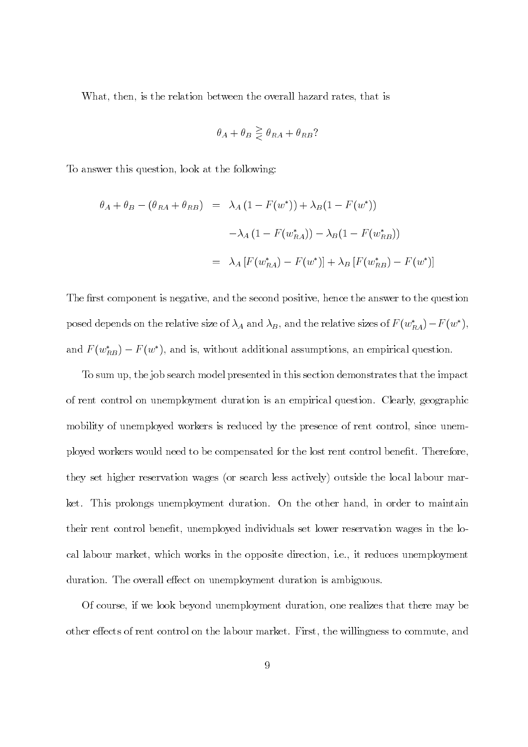What, then, is the relation between the overall hazard rates, that is

$$
\theta_A + \theta_B \geq \theta_{RA} + \theta_{RB}
$$
?

To answer this question, look at the following:

$$
\theta_A + \theta_B - (\theta_{RA} + \theta_{RB}) = \lambda_A (1 - F(w^*)) + \lambda_B (1 - F(w^*))
$$
  

$$
-\lambda_A (1 - F(w^*_{RA})) - \lambda_B (1 - F(w^*_{RB}))
$$
  

$$
= \lambda_A [F(w^*_{RA}) - F(w^*)] + \lambda_B [F(w^*_{RB}) - F(w^*)]
$$

The first component is negative, and the second positive, hence the answer to the question posed depends on the relative size of  $\lambda_A$  and  $\lambda_B$ , and the relative sizes of  $F(w_{RA}^*) - F(w^*)$ , and  $F(w_{RB}^*) - F(w^*)$ , and is, without additional assumptions, an empirical question.

To sum up, the job search model presented in this section demonstrates that the impact of rent control on unemployment duration is an empirical question. Clearly, geographic mobility of unemployed workers is reduced by the presence of rent control, since unemployed workers would need to be compensated for the lost rent control benefit. Therefore, they set higher reservation wages (or search less actively) outside the local labour market. This prolongs unemployment duration. On the other hand, in order to maintain their rent control benefit, unemployed individuals set lower reservation wages in the local labour market, which works in the opposite direction, i.e., it reduces unemployment duration. The overall effect on unemployment duration is ambiguous.

Of course, if we look beyond unemployment duration, one realizes that there may be other effects of rent control on the labour market. First, the willingness to commute, and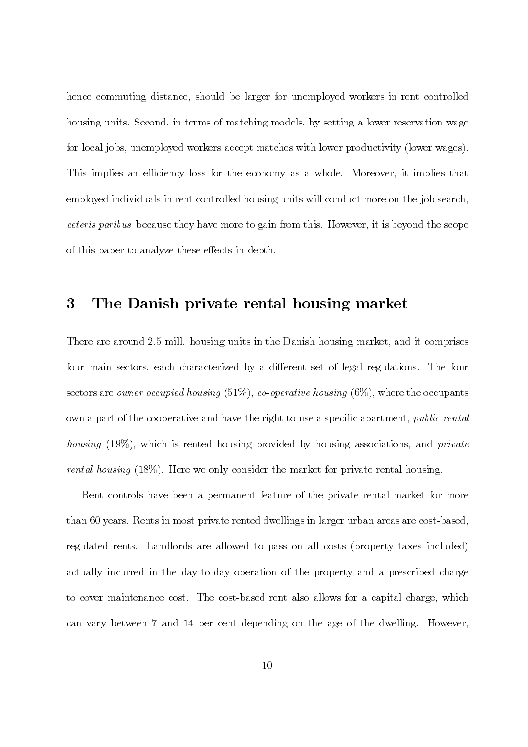hence commuting distance, should be larger for unemployed workers in rent controlled housing units. Second, in terms of matching models, by setting a lower reservation wage for local jobs, unemployed workers accept matches with lower productivity (lower wages). This implies an efficiency loss for the economy as a whole. Moreover, it implies that employed individuals in rent controlled housing units will conduct more on-the-job search, *ceteris paribus*, because they have more to gain from this. However, it is beyond the scope of this paper to analyze these effects in depth.

#### $\bf{3}$ The Danish private rental housing market

There are around 2.5 mill. housing units in the Danish housing market, and it comprises four main sectors, each characterized by a different set of legal regulations. The four sectors are *owner occupied housing* (51%), *co-operative housing* (6%), where the occupants own a part of the cooperative and have the right to use a specific apartment, *public rental housing* (19%), which is rented housing provided by housing associations, and *private rental housing*  $(18\%)$ . Here we only consider the market for private rental housing.

Rent controls have been a permanent feature of the private rental market for more than 60 years. Rents in most private rented dwellings in larger urban areas are cost-based, regulated rents. Landlords are allowed to pass on all costs (property taxes included) actually incurred in the day-to-day operation of the property and a prescribed charge to cover maintenance cost. The cost-based rent also allows for a capital charge, which can vary between 7 and 14 per cent depending on the age of the dwelling. However,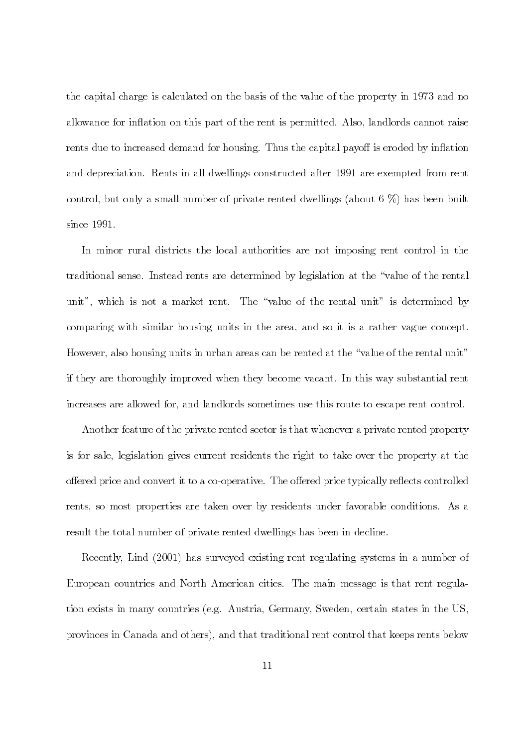the capital charge is calculated on the basis of the value of the property in 1973 and no allowance for inflation on this part of the rent is permitted. Also, landlords cannot raise rents due to increased demand for housing. Thus the capital payoff is eroded by inflation and depreciation. Rents in all dwellings constructed after 1991 are exempted from rent control, but only a small number of private rented dwellings (about  $6\%$ ) has been built since  $1991.$ 

In minor rural districts the local authorities are not imposing rent control in the traditional sense. Instead rents are determined by legislation at the "value of the rental unit", which is not a market rent. The "value of the rental unit" is determined by comparing with similar housing units in the area, and so it is a rather vague concept. However, also housing units in urban areas can be rented at the "value of the rental unit" if they are thoroughly improved when they become vacant. In this way substantial rent increases are allowed for, and landlords sometimes use this route to escape rent control.

Another feature of the private rented sector is that whenever a private rented property is for sale, legislation gives current residents the right to take over the property at the offered price and convert it to a co-operative. The offered price typically reflects controlled rents, so most properties are taken over by residents under favorable conditions. As a result the total number of private rented dwellings has been in decline.

Recently, Lind (2001) has surveyed existing rent regulating systems in a number of European countries and North American cities. The main message is that rent regulation exists in many countries (e.g. Austria, Germany, Sweden, certain states in the US, provinces in Canada and others), and that traditional rent control that keeps rents below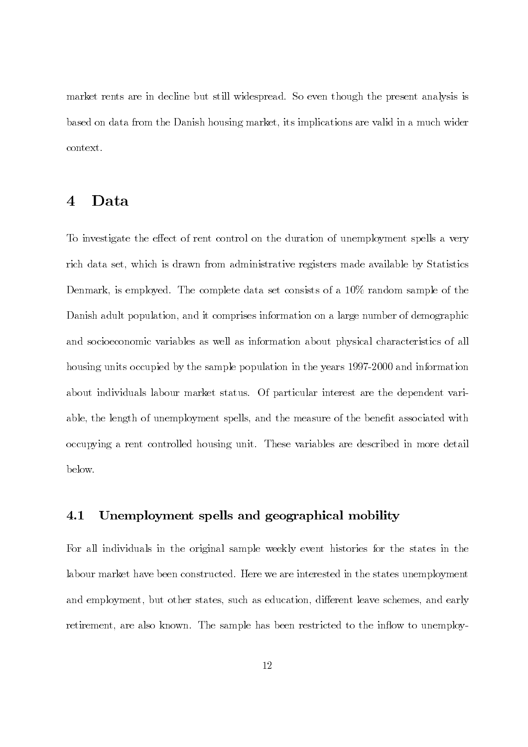market rents are in decline but still widespread. So even though the present analysis is based on data from the Danish housing market, its implications are valid in a much wider context.

#### $\overline{4}$ Data

To investigate the effect of rent control on the duration of unemployment spells a very rich data set, which is drawn from administrative registers made available by Statistics Denmark, is employed. The complete data set consists of a 10% random sample of the Danish adult population, and it comprises information on a large number of demographic and socioeconomic variables as well as information about physical characteristics of all housing units occupied by the sample population in the years 1997-2000 and information about individuals labour market status. Of particular interest are the dependent variable, the length of unemployment spells, and the measure of the benefit associated with occupying a rent controlled housing unit. These variables are described in more detail below.

#### $4.1$ Unemployment spells and geographical mobility

For all individuals in the original sample weekly event histories for the states in the labour market have been constructed. Here we are interested in the states unemployment and employment, but other states, such as education, different leave schemes, and early retirement, are also known. The sample has been restricted to the inflow to unemploy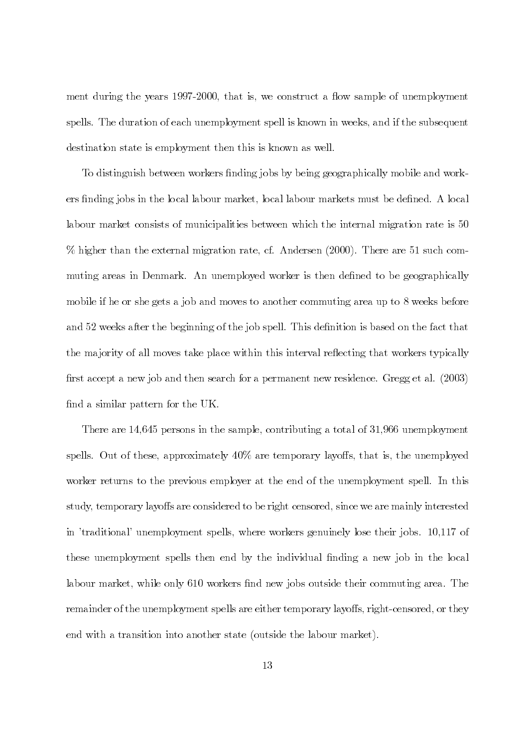ment during the years 1997-2000, that is, we construct a flow sample of unemployment spells. The duration of each unemployment spell is known in weeks, and if the subsequent destination state is employment then this is known as well.

To distinguish between workers finding jobs by being geographically mobile and workers finding jobs in the local labour market, local labour markets must be defined. A local labour market consists of municipalities between which the internal migration rate is 50 % higher than the external migration rate, cf. Andersen (2000). There are 51 such commuting areas in Denmark. An unemployed worker is then defined to be geographically mobile if he or she gets a job and moves to another commuting area up to 8 weeks before and 52 weeks after the beginning of the job spell. This definition is based on the fact that the majority of all moves take place within this interval reflecting that workers typically first accept a new job and then search for a permanent new residence. Gregg et al. (2003) find a similar pattern for the UK.

There are 14,645 persons in the sample, contributing a total of 31,966 unemployment spells. Out of these, approximately  $40\%$  are temporary layoffs, that is, the unemployed worker returns to the previous employer at the end of the unemployment spell. In this study, temporary layoffs are considered to be right censored, since we are mainly interested in 'traditional' unemployment spells, where workers genuinely lose their jobs. 10,117 of these unemployment spells then end by the individual finding a new job in the local labour market, while only 610 workers find new jobs outside their commuting area. The remainder of the unemployment spells are either temporary layoffs, right-censored, or they end with a transition into another state (outside the labour market).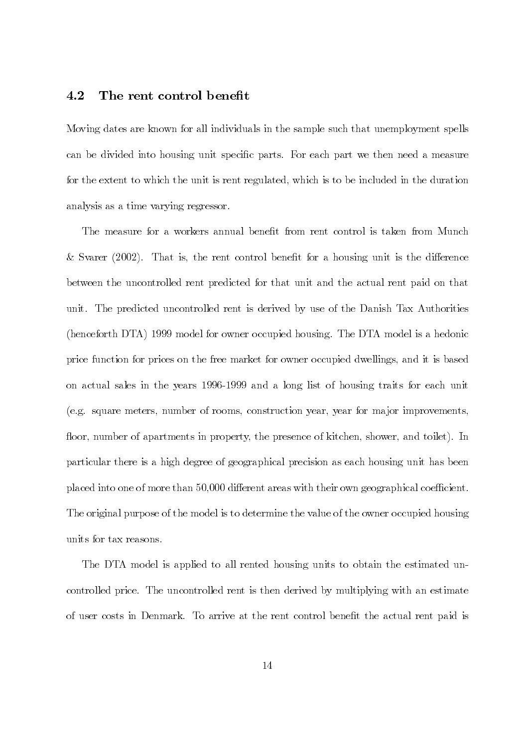#### 4.2 The rent control benefit

Moving dates are known for all individuals in the sample such that unemployment spells can be divided into housing unit specific parts. For each part we then need a measure for the extent to which the unit is rent regulated, which is to be included in the duration analysis as a time varying regressor.

The measure for a workers annual benefit from rent control is taken from Munch & Svarer  $(2002)$ . That is, the rent control benefit for a housing unit is the difference between the uncontrolled rent predicted for that unit and the actual rent paid on that unit. The predicted uncontrolled rent is derived by use of the Danish Tax Authorities (henceforth DTA) 1999 model for owner occupied housing. The DTA model is a hedonic price function for prices on the free market for owner occupied dwellings, and it is based on actual sales in the years 1996-1999 and a long list of housing traits for each unit (e.g. square meters, number of rooms, construction year, year for major improvements, floor, number of apartments in property, the presence of kitchen, shower, and toilet). In particular there is a high degree of geographical precision as each housing unit has been placed into one of more than 50,000 different areas with their own geographical coefficient. The original purpose of the model is to determine the value of the owner occupied housing units for tax reasons.

The DTA model is applied to all rented housing units to obtain the estimated uncontrolled price. The uncontrolled rent is then derived by multiplying with an estimate of user costs in Denmark. To arrive at the rent control benefit the actual rent paid is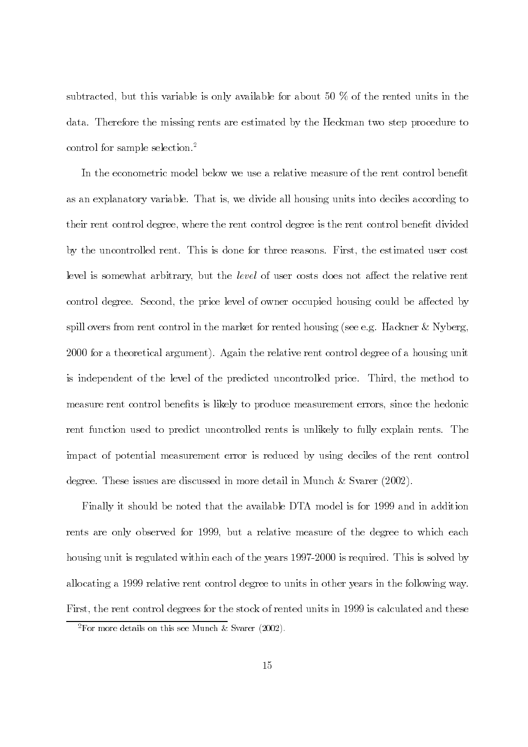subtracted, but this variable is only available for about 50  $\%$  of the rented units in the data. Therefore the missing rents are estimated by the Heckman two step procedure to control for sample selection. $^{2}$ 

In the econometric model below we use a relative measure of the rent control benefit as an explanatory variable. That is, we divide all housing units into deciles according to their rent control degree, where the rent control degree is the rent control benefit divided by the uncontrolled rent. This is done for three reasons. First, the estimated user cost level is somewhat arbitrary, but the level of user costs does not affect the relative rent control degree. Second, the price level of owner occupied housing could be affected by spill overs from rent control in the market for rented housing (see e.g. Hackner & Nyberg, 2000 for a theoretical argument). Again the relative rent control degree of a housing unit is independent of the level of the predicted uncontrolled price. Third, the method to measure rent control benefits is likely to produce measurement errors, since the hedonic rent function used to predict uncontrolled rents is unlikely to fully explain rents. The impact of potential measurement error is reduced by using deciles of the rent control degree. These issues are discussed in more detail in Munch  $&$  Svarer (2002).

Finally it should be noted that the available DTA model is for 1999 and in addition rents are only observed for 1999, but a relative measure of the degree to which each housing unit is regulated within each of the years 1997-2000 is required. This is solved by allocating a 1999 relative rent control degree to units in other years in the following way. First, the rent control degrees for the stock of rented units in 1999 is calculated and these

<sup>&</sup>lt;sup>2</sup>For more details on this see Munch & Svarer (2002).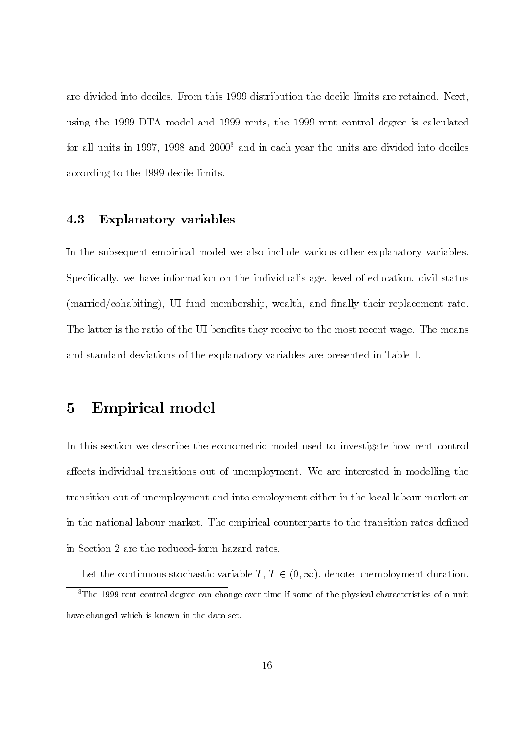are divided into deciles. From this 1999 distribution the decile limits are retained. Next, using the 1999 DTA model and 1999 rents, the 1999 rent control degree is calculated for all units in 1997, 1998 and 2000<sup>3</sup> and in each year the units are divided into deciles according to the 1999 decile limits.

#### 4.3 **Explanatory variables**

In the subsequent empirical model we also include various other explanatory variables. Specifically, we have information on the individual's age, level of education, civil status (married/cohabiting), UI fund membership, wealth, and finally their replacement rate. The latter is the ratio of the UI benefits they receive to the most recent wage. The means and standard deviations of the explanatory variables are presented in Table 1.

#### $\bf{5}$ **Empirical model**

In this section we describe the econometric model used to investigate how rent control affects individual transitions out of unemployment. We are interested in modelling the transition out of unemployment and into employment either in the local labour market or in the national labour market. The empirical counterparts to the transition rates defined in Section 2 are the reduced-form hazard rates.

Let the continuous stochastic variable  $T, T \in (0, \infty)$ , denote unemployment duration.  $3$ The 1999 rent control degree can change over time if some of the physical characteristics of a unit

have changed which is known in the data set.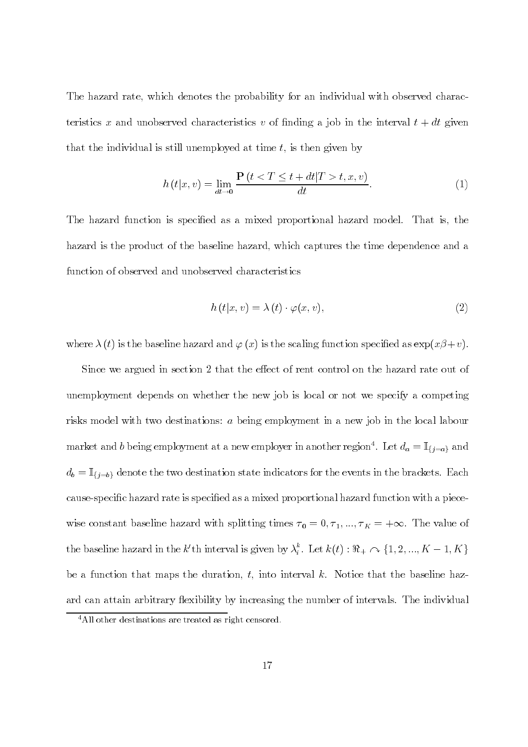The hazard rate, which denotes the probability for an individual with observed characteristics x and unobserved characteristics v of finding a job in the interval  $t + dt$  given that the individual is still unemployed at time  $t$ , is then given by

$$
h(t|x,v) = \lim_{dt \to 0} \frac{\mathbf{P}(t < T \le t + dt | T > t, x, v)}{dt}.
$$
 (1)

The hazard function is specified as a mixed proportional hazard model. That is, the hazard is the product of the baseline hazard, which captures the time dependence and a function of observed and unobserved characteristics

$$
h(t|x,v) = \lambda(t) \cdot \varphi(x,v), \qquad (2)
$$

where  $\lambda(t)$  is the baseline hazard and  $\varphi(x)$  is the scaling function specified as  $\exp(x\beta+v)$ .

Since we argued in section 2 that the effect of rent control on the hazard rate out of unemployment depends on whether the new job is local or not we specify a competing risks model with two destinations: a being employment in a new job in the local labour market and b being employment at a new employer in another region<sup>4</sup>. Let  $d_a = \mathbb{I}_{\{j=a\}}$  and  $d_b = \mathbb{I}_{\{j=b\}}$  denote the two destination state indicators for the events in the brackets. Each cause-specific hazard rate is specified as a mixed proportional hazard function with a piecewise constant baseline hazard with splitting times  $\tau_0 = 0, \tau_1, ..., \tau_K = +\infty$ . The value of the baseline hazard in the k'th interval is given by  $\lambda_i^k$ . Let  $k(t) : \Re_+ \cap \{1, 2, ..., K-1, K\}$ be a function that maps the duration, t, into interval k. Notice that the baseline hazard can attain arbitrary flexibility by increasing the number of intervals. The individual

 $4$ All other destinations are treated as right censored.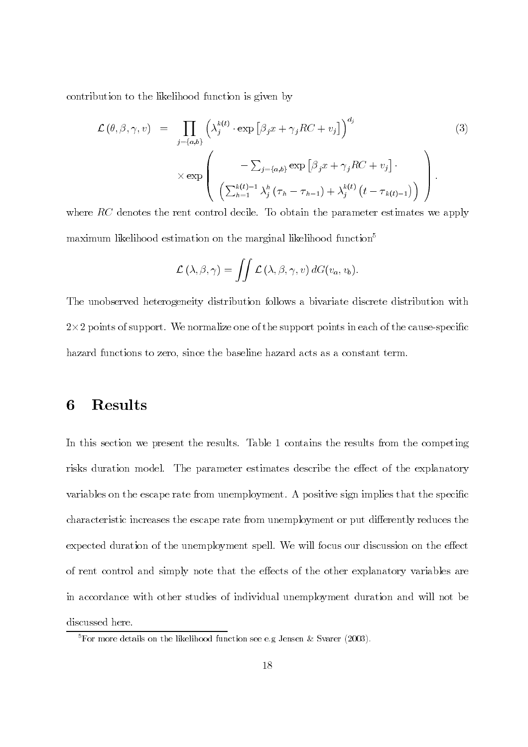contribution to the likelihood function is given by

$$
\mathcal{L}(\theta, \beta, \gamma, v) = \prod_{j=\{a,b\}} \left( \lambda_j^{k(t)} \cdot \exp\left[\beta_j x + \gamma_j RC + v_j\right] \right)^{d_j} \times \exp\left( -\sum_{j=\{a,b\}} \exp\left[\beta_j x + \gamma_j RC + v_j\right] \cdot \left( \sum_{h=1}^{k(t)-1} \lambda_j^h (\tau_h - \tau_{h-1}) + \lambda_j^{k(t)} \left( t - \tau_{k(t)-1} \right) \right) \right)
$$
\n(3)

where  $RC$  denotes the rent control decile. To obtain the parameter estimates we apply maximum likelihood estimation on the marginal likelihood function<sup>5</sup>

$$
\mathcal{L}(\lambda, \beta, \gamma) = \iint \mathcal{L}(\lambda, \beta, \gamma, v) dG(v_a, v_b)
$$

The unobserved heterogeneity distribution follows a bivariate discrete distribution with  $2\times 2$  points of support. We normalize one of the support points in each of the cause-specific hazard functions to zero, since the baseline hazard acts as a constant term.

#### **Results** 6

In this section we present the results. Table 1 contains the results from the competing risks duration model. The parameter estimates describe the effect of the explanatory variables on the escape rate from unemployment. A positive sign implies that the specific characteristic increases the escape rate from unemployment or put differently reduces the expected duration of the unemployment spell. We will focus our discussion on the effect of rent control and simply note that the effects of the other explanatory variables are in accordance with other studies of individual unemployment duration and will not be discussed here.

 $5\,\text{For more details on the likelihood function see e.g. Jensen \& Svarer (2003).}$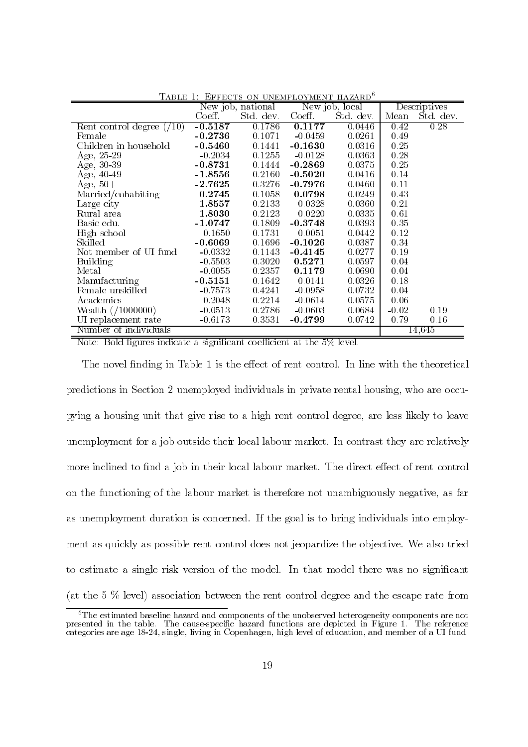|                            | .<br>$\sim$ . The state of $\sim$ . The state of $\sim$<br>1111 <i>011</i> 100<br>New job, national<br>New job, local |           | Descriptives |          |         |           |
|----------------------------|-----------------------------------------------------------------------------------------------------------------------|-----------|--------------|----------|---------|-----------|
|                            | Coeff.                                                                                                                | Std. dev. | Coeff.       | Std. dev | Mean    | Std. dev. |
| Rent control degree $(10)$ | $-0.5187$                                                                                                             | 0.1786    | 0.1177       | 0.0446   | 0.42    | 0.28      |
| Female                     | $-0.2736$                                                                                                             | 0.1071    | $-0.0459$    | 0.0261   | 0.49    |           |
| Children in household      | $-0.5460$                                                                                                             | 0.1441    | $-0.1630$    | 0.0316   | 0.25    |           |
| Age, 25-29                 | $-0.2034$                                                                                                             | 0.1255    | $-0.0128$    | 0.0363   | 0.28    |           |
| Age, 30-39                 | $-0.8731$                                                                                                             | 0.1444    | $-0.2869$    | 0.0375   | 0.25    |           |
| Age, 40-49                 | $-1.8556$                                                                                                             | 0.2160    | $-0.5020$    | 0.0416   | 0.14    |           |
| Age, $50+$                 | $-2.7625$                                                                                                             | 0.3276    | $-0.7976$    | 0.0460   | 0.11    |           |
| Married/cohabiting         | 0.2745                                                                                                                | 0.1058    | 0.0798       | 0.0249   | 0.43    |           |
| Large city                 | 1.8557                                                                                                                | 0.2133    | 0.0328       | 0.0360   | 0.21    |           |
| Rural area                 | 1.8030                                                                                                                | 0.2123    | 0.0220       | 0.0335   | 0.61    |           |
| Basic edu.                 | $-1.0747$                                                                                                             | 0.1809    | $-0.3748$    | 0.0393   | 0.35    |           |
| High school                | 0.1650                                                                                                                | 0.1731    | 0.0051       | 0.0442   | 0.12    |           |
| Skilled                    | $-0.6069$                                                                                                             | 0.1696    | $-0.1026$    | 0.0387   | 0.34    |           |
| Not member of UI fund      | $-0.0332$                                                                                                             | 0.1143    | $-0.4145$    | 0.0277   | 0.19    |           |
| Building                   | $-0.5503$                                                                                                             | 0.3020    | 0.5271       | 0.0597   | 0.04    |           |
| Metal                      | $-0.0055$                                                                                                             | 0.2357    | 0.1179       | 0.0690   | 0.04    |           |
| Manufacturing              | $-0.5151$                                                                                                             | 0.1642    | 0.0141       | 0.0326   | 0.18    |           |
| Female unskilled           | $-0.7573$                                                                                                             | 0.4241    | $-0.0958$    | 0.0732   | 0.04    |           |
| Academics                  | 0.2048                                                                                                                | 0.2214    | $-0.0614$    | 0.0575   | 0.06    |           |
| Wealth $//1000000)$        | $-0.0513$                                                                                                             | 0.2786    | $-0.0603$    | 0.0684   | $-0.02$ | 0.19      |
| UI replacement rate        | $-0.6173$                                                                                                             | 0.3531    | $-0.4799$    | 0.0742   | 0.79    | 0.16      |
| Number of individuals      |                                                                                                                       |           |              |          |         | 14,645    |

TABLE 1: EFFECTS ON UNEMPLOYMENT HAZARD<sup>6</sup>

Note: Bold figures indicate a significant coefficient at the 5% level.

The novel finding in Table 1 is the effect of rent control. In line with the theoretical predictions in Section 2 unemployed individuals in private rental housing, who are occupying a housing unit that give rise to a high rent control degree, are less likely to leave unemployment for a job outside their local labour market. In contrast they are relatively more inclined to find a job in their local labour market. The direct effect of rent control on the functioning of the labour market is therefore not unambiguously negative, as far as unemployment duration is concerned. If the goal is to bring individuals into employment as quickly as possible rent control does not jeopardize the objective. We also tried to estimate a single risk version of the model. In that model there was no significant (at the  $5\%$  level) association between the rent control degree and the escape rate from

 ${}^{6}$ The estimated baseline hazard and components of the unobserved heterogeneity components are not presented in the table. The cause-specific hazard functions are depicted in Figure 1. The reference categories are age 18-24, single, living in Copenhagen, high level of education, and member of a UI fund.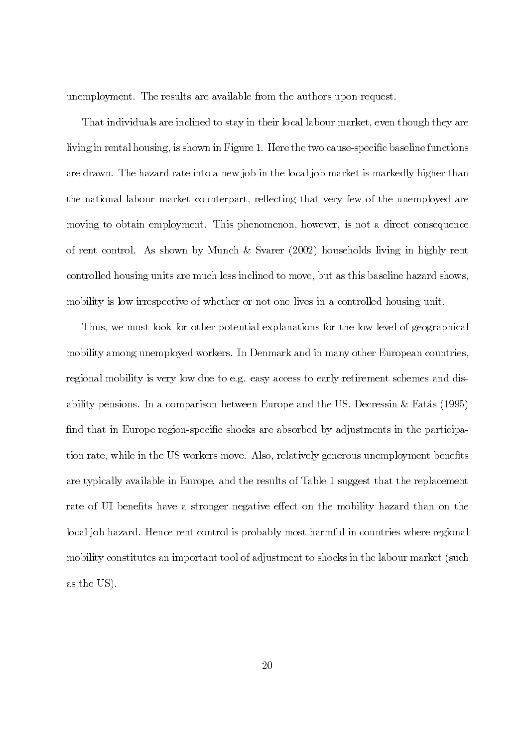unemployment. The results are available from the authors upon request.

That individuals are inclined to stay in their local labour market, even though they are living in rental housing, is shown in Figure 1. Here the two cause-specific baseline functions are drawn. The hazard rate into a new job in the local job market is markedly higher than the national labour market counterpart, reflecting that very few of the unemployed are moving to obtain employment. This phenomenon, however, is not a direct consequence of rent control. As shown by Munch & Svarer (2002) households living in highly rent controlled housing units are much less inclined to move, but as this baseline hazard shows, mobility is low irrespective of whether or not one lives in a controlled housing unit.

Thus, we must look for other potential explanations for the low level of geographical mobility among unemployed workers. In Denmark and in many other European countries, regional mobility is very low due to e.g. easy access to early retirement schemes and disability pensions. In a comparison between Europe and the US, Decressin & Fatas  $(1995)$ find that in Europe region-specific shocks are absorbed by adjustments in the participation rate, while in the US workers move. Also, relatively generous unemployment benefits are typically available in Europe, and the results of Table 1 suggest that the replacement rate of UI benefits have a stronger negative effect on the mobility hazard than on the local job hazard. Hence rent control is probably most harmful in countries where regional mobility constitutes an important tool of adjustment to shocks in the labour market (such as the US).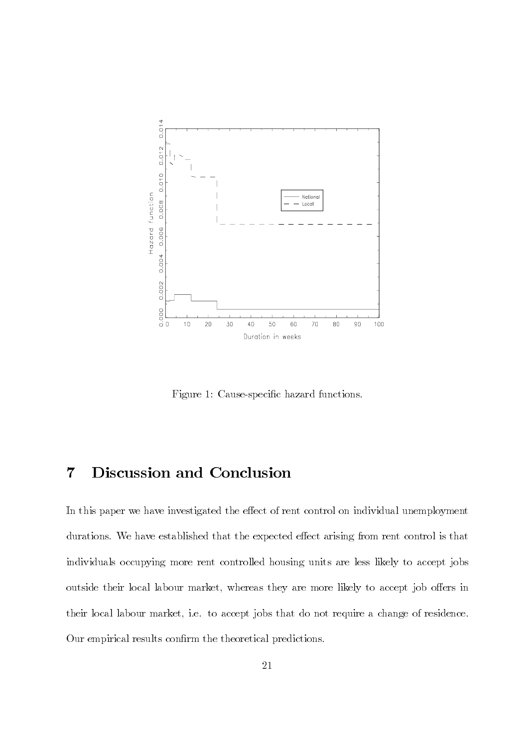

Figure 1: Cause-specific hazard functions.

#### Discussion and Conclusion  $\overline{7}$

In this paper we have investigated the effect of rent control on individual unemployment durations. We have established that the expected effect arising from rent control is that individuals occupying more rent controlled housing units are less likely to accept jobs outside their local labour market, whereas they are more likely to accept job offers in their local labour market, i.e. to accept jobs that do not require a change of residence. Our empirical results confirm the theoretical predictions.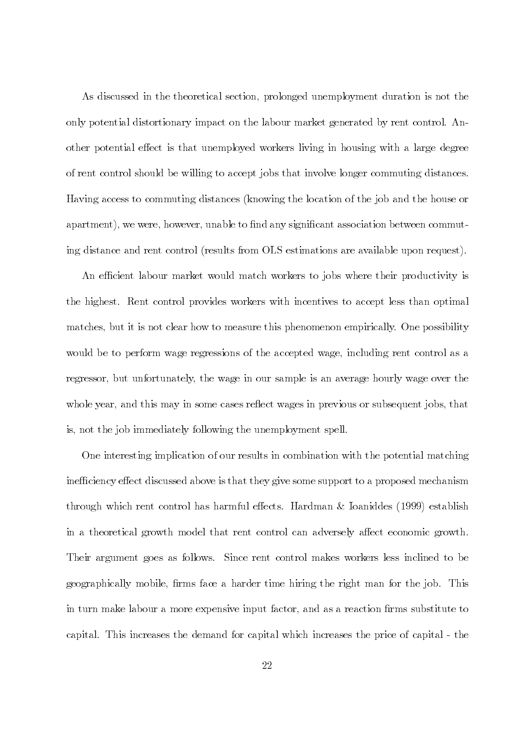As discussed in the theoretical section, prolonged unemployment duration is not the only potential distortionary impact on the labour market generated by rent control. Another potential effect is that unemployed workers living in housing with a large degree of rent control should be willing to accept jobs that involve longer commuting distances. Having access to commuting distances (knowing the location of the job and the house or apartment), we were, however, unable to find any significant association between commuting distance and rent control (results from OLS estimations are available upon request).

An efficient labour market would match workers to jobs where their productivity is the highest. Rent control provides workers with incentives to accept less than optimal matches, but it is not clear how to measure this phenomenon empirically. One possibility would be to perform wage regressions of the accepted wage, including rent control as a regressor, but unfortunately, the wage in our sample is an average hourly wage over the whole year, and this may in some cases reflect wages in previous or subsequent jobs, that is, not the job immediately following the unemployment spell.

One interesting implication of our results in combination with the potential matching inefficiency effect discussed above is that they give some support to a proposed mechanism through which rent control has harmful effects. Hardman & Ioaniddes (1999) establish in a theoretical growth model that rent control can adversely affect economic growth. Their argument goes as follows. Since rent control makes workers less inclined to be geographically mobile, firms face a harder time hiring the right man for the job. This in turn make labour a more expensive input factor, and as a reaction firms substitute to capital. This increases the demand for capital which increases the price of capital - the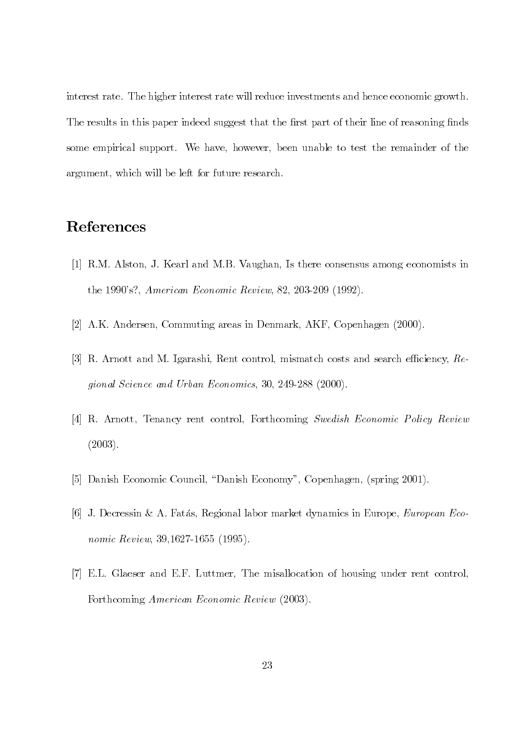interest rate. The higher interest rate will reduce investments and hence economic growth. The results in this paper indeed suggest that the first part of their line of reasoning finds some empirical support. We have, however, been unable to test the remainder of the argument, which will be left for future research.

## References

- [1] R.M. Alston, J. Kearl and M.B. Vaughan, Is there consensus among economists in the 1990's?, American Economic Review, 82, 203-209 (1992).
- [2] A.K. Andersen, Commuting areas in Denmark, AKF, Copenhagen (2000).
- [3] R. Arnott and M. Igarashi, Rent control, mismatch costs and search efficiency,  $Re$ gional Science and Urban Economics, 30, 249-288 (2000).
- [4] R. Arnott, Tenancy rent control, Forthcoming Swedish Economic Policy Review  $(2003).$
- [5] Danish Economic Council, "Danish Economy", Copenhagen, (spring 2001).
- [6] J. Decressin & A. Fatás, Regional labor market dynamics in Europe, *European Eco*nomic Review, 39.1627-1655 (1995).
- [7] E.L. Glaeser and E.F. Luttmer, The misallocation of housing under rent control, Forthcoming American Economic Review (2003).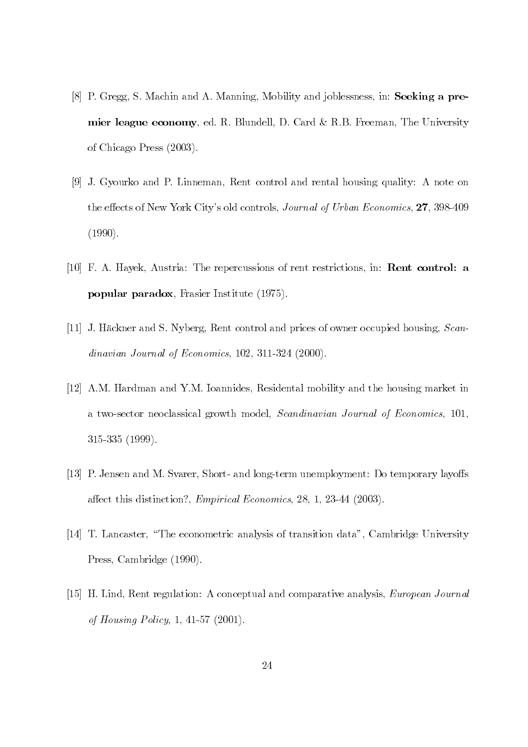- [8] P. Gregg, S. Machin and A. Manning, Mobility and joblessness, in: Seeking a premier league economy, ed. R. Blundell, D. Card & R.B. Freeman, The University of Chicago Press (2003).
- [9] J. Gyourko and P. Linneman, Rent control and rental housing quality: A note on the effects of New York City's old controls, *Journal of Urban Economics*, 27, 398-409  $(1990).$
- [10] F. A. Hayek, Austria: The repercussions of rent restrictions, in: **Rent control: a popular paradox**, Frasier Institute (1975).
- [11] J. Häckner and S. Nyberg, Rent control and prices of owner occupied housing, Scandinavian Journal of Economics,  $102, 311-324$  (2000).
- [12] A.M. Hardman and Y.M. Ioannides, Residental mobility and the housing market in a two-sector neoclassical growth model, Scandinavian Journal of Economics, 101,  $315-335$   $(1999)$ .
- [13] P. Jensen and M. Svarer, Short- and long-term unemployment: Do temporary layoffs affect this distinction?, *Empirical Economics*, 28, 1, 23-44 (2003).
- [14] T. Lancaster, "The econometric analysis of transition data", Cambridge University Press, Cambridge (1990).
- [15] H. Lind, Rent regulation: A conceptual and comparative analysis, *European Journal* of Housing Policy, 1, 41-57 (2001).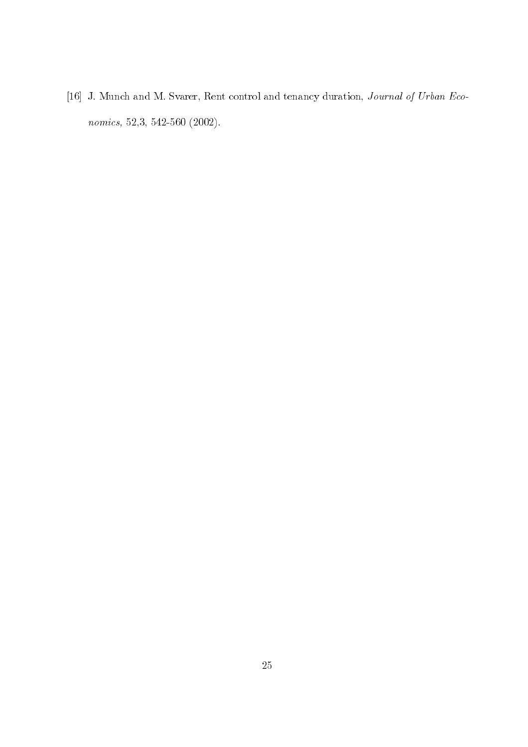[16] J. Munch and M. Svarer, Rent control and tenancy duration, Journal of Urban Eco $nonics, 52,3, 542-560 (2002).$